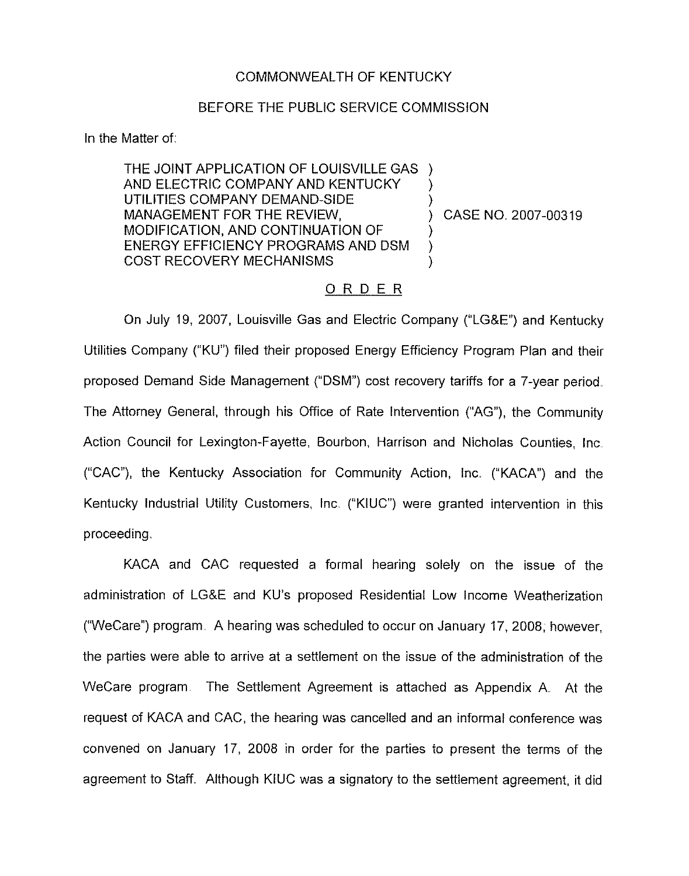#### COMMONWEALTH OF KENTUCKY

# BEFORE THE PUBLIC SERVICE COMMISSION

In the Matter of:

THE JOINT APPLICATION OF LOUISVILLE GAS ) AND ELECTRIC COMPANY AND KENTUCKY UTILITIES COMPANY DEMAND-SIDE MANAGEMENT FOR THE REVIEW, MODIFICATION, AND CONTINUATION OF ENERGY EFFICIENCY PROGRAMS AND DSM COST RECOVERY MECHANISMS ) ) ) ) )

) CASE NO. 2007-00319

# ORDER

On July 19, 2007, Louisville Gas and Electric Company ("LG&E") and Kentucky Utilities Company ("KU") filed their proposed Energy Efficiency Program Plan and their proposed Demand Side Management ("DSM") cost recovery tariffs for a 7-year period The Attorney General, through his Office of Rate Intervention ("AG"), the Community Action Council for Lexington-Fayette, Bourbon, Harrison and Nicholas Counties, Inc ("CAC"), the Kentucky Association for Community Action, Inc. ("KACA") and the Kentucky Industrial Utility Customers, Inc. ("KIUC") were granted intervention in this proceeding.

KACA and CAC requested a formal hearing solely on the issue of the administration of LG&E and KU's proposed Residential Low Income Weatherization ("WeCare") program. A hearing was scheduled to occur on January 17, 2008; however, the parties were able to arrive at a settlement on the issue of the administration of the WeCare program. The Settlement Agreement is attached as Appendix A. At the request of KACA and CAC, the hearing was cancelled and an informal conference was convened on January 17, 2008 in order for the parties to present the terms of the agreement to Staff. Although KIUC was a signatory to the settlement agreement, it did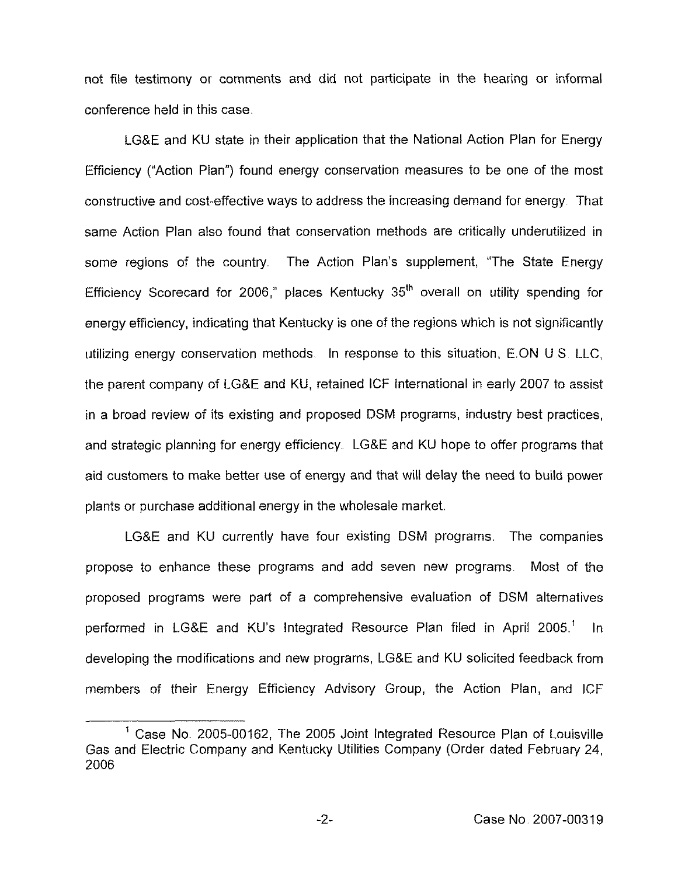not file testimony or comments and did not participate in the hearing or informal conference held in this case.

LGBE and KU state in their application that the National Action Plan for Energy Efficiency ("Action Plan") found energy conservation measures to be one of the mos constructive and cost-effective ways to address the increasing demand for energy. That same Action Plan also found that conservation methods are critically underutilized in some regions of the country. The Action Plan's supplement, "The State Energy Efficiency Scorecard for 2006," places Kentucky 35<sup>th</sup> overall on utility spending for energy efficiency, indicating that Kentucky is one of the regions which is not signiticantly utilizing energy conservation methods In response to this situation, E ON <sup>U</sup> S LLC, the parent company of LG&E and KU, retained ICF International in early 2007 to assist in a broad review of its existing and proposed DSM programs, industry best practices, and strategic planning for energy efficiency. LG&E and KU hope to offer programs that aid customers to make better use of energy and that will delay the need to build power plants or purchase additional energy in the wholesale market

LG&E and KU currently have four existing DSM programs. The companies propose to enhance these programs and add seven new programs. Most of the proposed programs were part of a comprehensive evaluation of DSM alternatives performed in LG&E and KU's Integrated Resource Plan filed in April 2005.<sup>1</sup> In developing the modifications and new programs, LG&E and KU solicited feedback from members of their Energy Efficiency Advisory Group, the Action Plan, and ICF

 $-2-$ 

<sup>&</sup>lt;sup>1</sup> Case No. 2005-00162, The 2005 Joint Integrated Resource Plan of Louisville Gas and Electric Company and Kentucky Utilities Company (Order dated February 24, 2006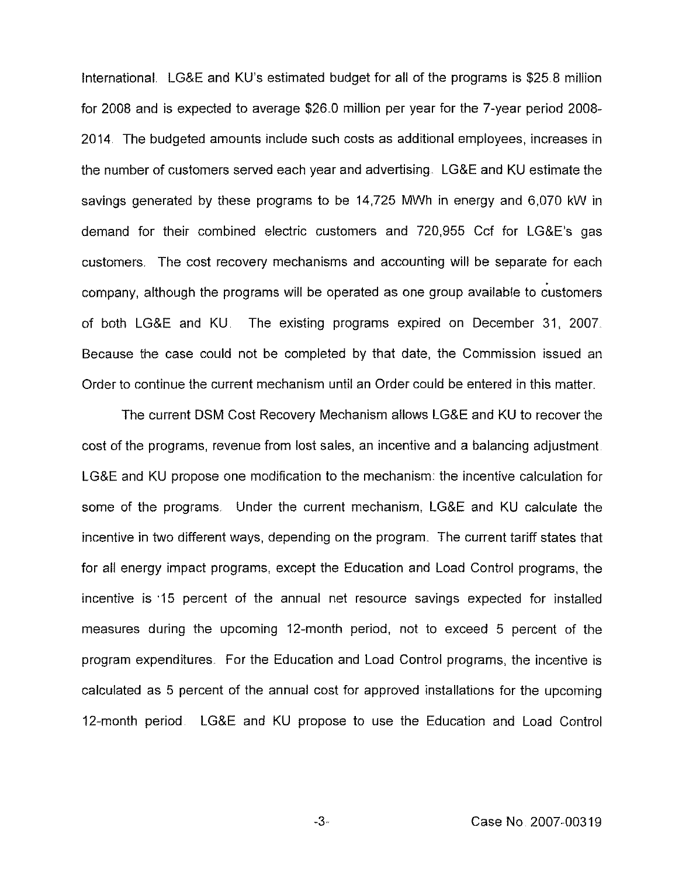International. LG&E and KU's estimated budget for all of the programs is \$25.8 million for 2008 and is expected to average \$26 0 million per year for the 7-year period 2008- 2014. The budgeted amounts include such costs as additional employees, increases in the number of customers served each year and advertising. LG&E and KU estimate the savings generated by these programs to be 14,725 MWh in energy and 6,070 kW in demand for their combined electric customers and 720,955 Ccf for LG8E's gas customers. The cost recovery mechanisms and accounting will be separate for each company, although the programs will be operated as one group available to customers of both LG&E and KU. The existing programs expired on December 31, 2007. Because the case could not be completed by that date, the Commission issued an Order to continue the current mechanism until an Order could be entered in this matter.

The current DSM Cost Recovery Mechanism allows LG&E and KU to recover the cost of the programs, revenue from lost sales, an incentive and a balancing adjustment LG&E and KU propose one modification to the mechanism: the incentive calculation for some of the programs. Under the current mechanism, LG&E and KU calculate the incentive in two different ways, depending on the program. The current tariff states that for all energy impact programs, except the Education and Load Control programs, the incentive is 15 percent of the annual net resource savings expected for installed measures during the upcoming 12-month period, not to exceed 5 percent of the program expenditures For the Education and Load Control programs, the incentive is calculated as 5 percent of the annual cost for approved installations for the upcoming 12-month period LG8E and KU propose to use the Education and Load Control

Case No 2007-00319

 $-3-$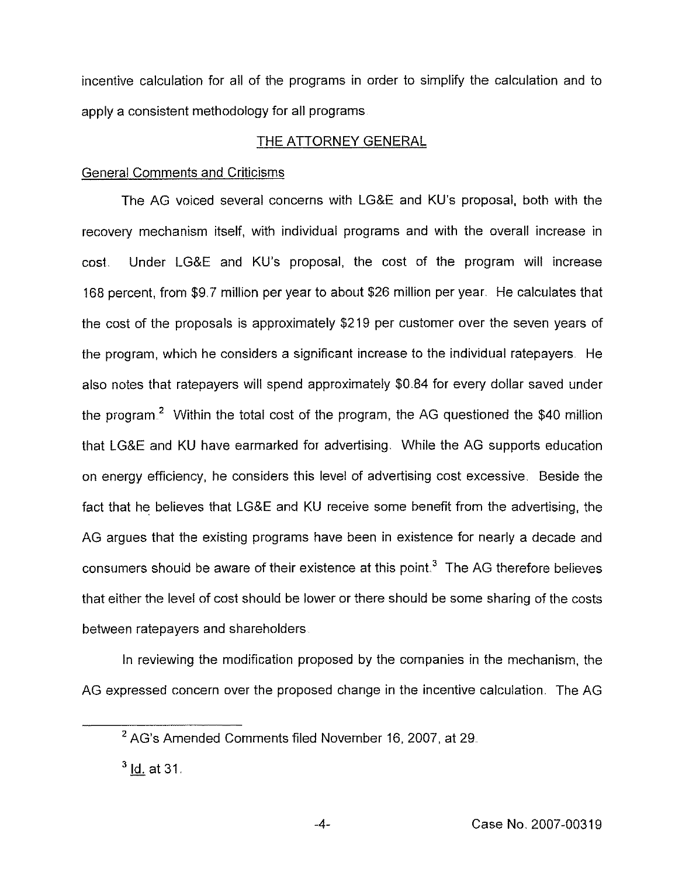incentive calculation for all of the programs in order to simplify the calculation and to apply a consistent methodology for all programs

# THE ATTORNEY GENERAL

# General Comments and Criticisms

The AG voiced several concerns with LG8E and KU's proposal, both with the recovery mechanism itself, with individual programs and with the overall increase in cost. Under LG&E and KU's proposal, the cost of the program will increase 168 percent, from \$9.7 million per year to about \$26 million per year. He calculates that the cost of the proposals is approximately \$219 per customer over the seven years of the program, which he considers a significant increase to the individual ratepayers. He also notes that ratepayers will spend approximately \$0.84 for every dollar saved under the program.<sup>2</sup> Within the total cost of the program, the AG questioned the \$40 million that LGBE and KU have earmarked for advertising. While the AG supports education on energy efficiency, he considers this level of advertising cost excessive Beside the fact that he believes that LGBE and KU receive some benefit from the advertising, the AG argues that the existing programs have been in existence for nearly a decade and consumers should be aware of their existence at this point.<sup>3</sup> The AG therefore believes that either the level of cost should be lower or there should be some sharing of the costs between ratepayers and shareholders

In reviewing the modification proposed by the companies in the mechanism, the AG expressed concern over the proposed change in the incentive calculation. The AG

<sup>&</sup>lt;sup>2</sup> AG's Amended Comments filed November 16, 2007, at 29.

 $3$  ld. at 31.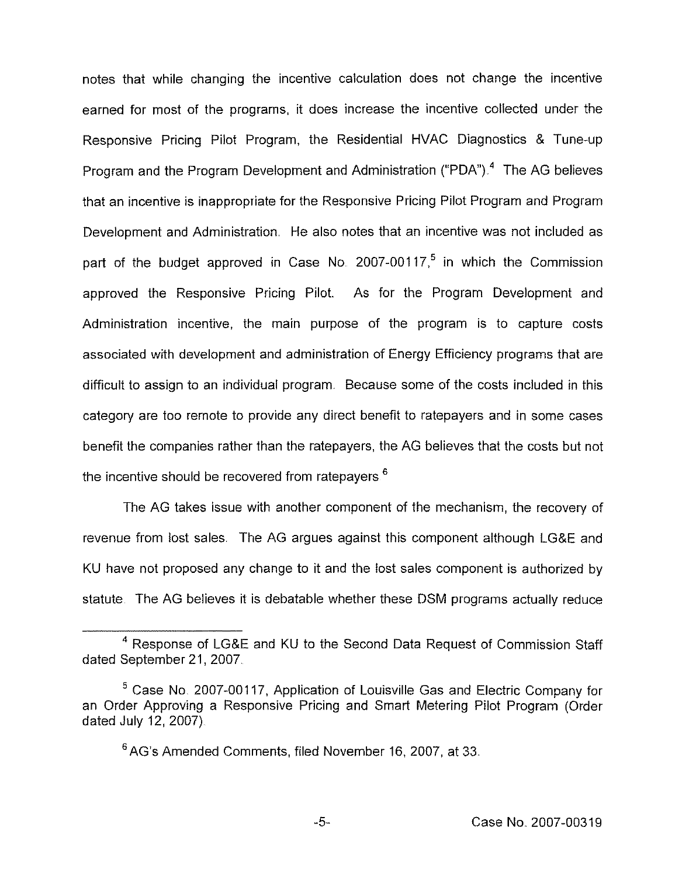notes that while changing the incentive calculation does not change the incentive earned for most of the programs, it does increase the incentive collected under the Responsive Pricing Pilot Program, the Residential HVAC Diagnostics & Tune-up Program and the Program Development and Administration ("PDA").<sup>4</sup> The AG believes that an incentive is inappropriate for the Responsive Pricing Pilot Program and Program Development and Administration. He also notes that an incentive was not included as part of the budget approved in Case No. 2007-00117,<sup>5</sup> in which the Commission approved the Responsive Pricing Pilot. As for the Program Development and Administration incentive, the main purpose of the program is to capture costs associated with development and administration of Energy Efficiency programs that are difficult to assign to an individual program. Because some of the costs included in this category are too remote to provide any direct benefit to ratepayers and in some cases benefit the companies rather than the ratepayers, the AG believes that the costs but not the incentive should be recovered from ratepayers.<sup>6</sup>

AG takes issue with another component of the mechanism, the recovery of revenue from lost sales. The AG argues against this component although LG&E and KU have not proposed any change to it and the lost sales component is authorized by statute. The AG believes it is debatable whether these DSM programs actually reduce

<sup>&</sup>lt;sup>4</sup> Response of LG&E and KU to the Second Data Request of Commission Staff dated September 21, 2007

 $5$  Case No. 2007-00117, Application of Louisville Gas and Electric Company for an Order Approving a Responsive Pricing and Smart Metering Pilot Program (Order dated July 12, 2007)

<sup>&#</sup>x27;AG's Amended Comments, filed November 16, 2007, at 33.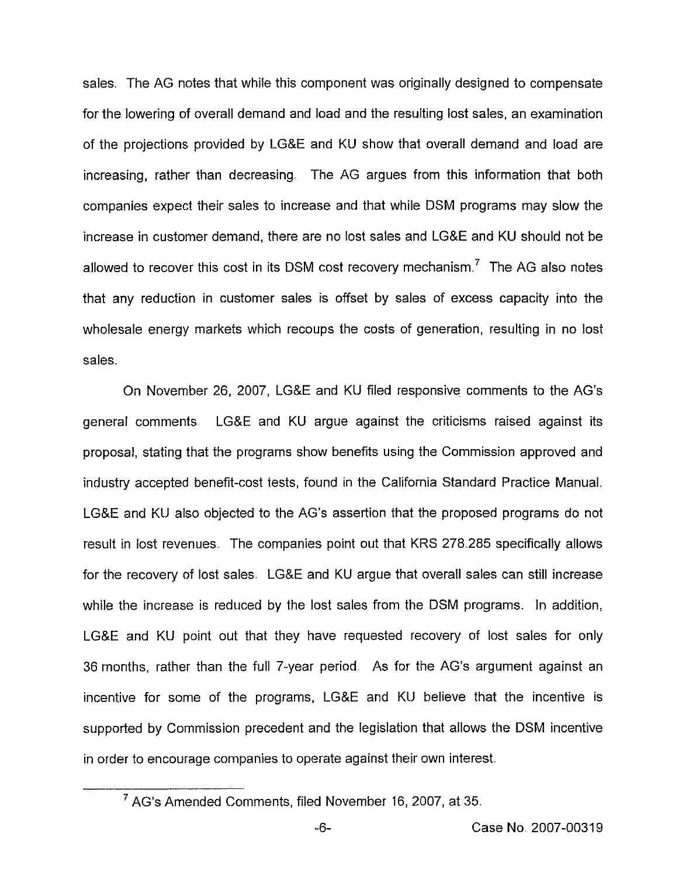sales. The AG notes that while this component was originally designed to compensate for the lowering of overall demand and load and the resulting lost sales, an examination of the projections provided by LG8E and KU show that overall demand and load are increasing, rather than decreasing, The AG argues from this information that both companies expect their sales to increase and that while DSM programs may slow the increase in customer demand, there are no lost sales and LG&E and KU should not be allowed to recover this cost in its DSM cost recovery mechanism.<sup>7</sup> The AG also notes that any reduction in customer sales is offset by sales of excess capacity into the wholesale energy markets which recoups the costs of generation, resulting in no lost sales.

On November 26, 2007, LG&E and KU filed responsive comments to the AG's general comments LG8E and KU argue against the criticisms raised against its proposal, stating that the programs show benefits using the Commission approved and industry accepted benefit-cast tests, found in the California Standard Practice Manual. LG8E and KU also objected to the AG's assertion that the proposed programs do not result in lost revenues. The companies point out that KRS 276.265 specifically allows for the recovery of lost sales. LG&E and KU argue that overall sales can still increase while the increase is reduced by the lost sales from the DSM programs. In addition, LG&E and KU point out that they have requested recovery of lost sales for only 36 months, rather than the full 7-year period As for the AG's argument against an incentive for some of the programs, LG&E and KU believe that the incentive is supported by Commission precedent and the legislation that allows the DSM incentive in order to encourage companies to operate against their own interest.

AG's Amended Comments, filed November 16, 2007, at 35.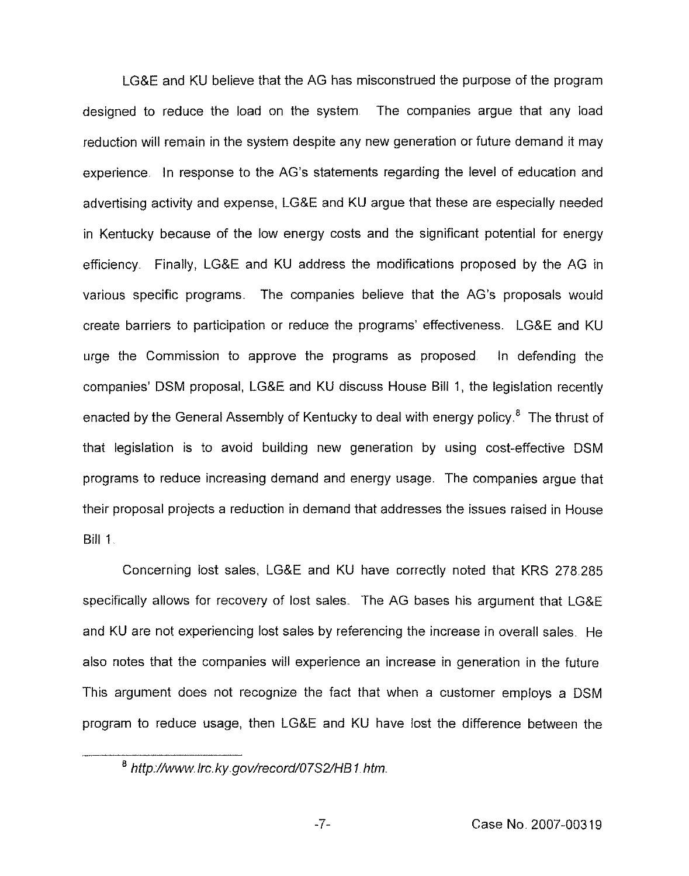LGBE and KV believe that the AG has misconstrued the purpose of the program designed to reduce the load on the system The companies argue that any load reduction will remain in the system despite any new generation or future demand it may experience. In response to the AG's statements regarding the level of education and advertising activity and expense, LGBE and KU argue that these are especially needed in Kentucky because of the low energy costs and the significant potential for energy efficiency Finally, LG&E and KU address the modifications proposed by the AG in various specific programs The companies believe that the AG's proposals would create barriers to participation or reduce the programs' effectiveness. LG&E and KU urge the Commission to approve the programs as proposed In defending the companies' DSM proposal, LG&E and KU discuss House Bill 1, the legislation recently enacted by the General Assembly of Kentucky to deal with energy policy.<sup>8</sup> The thrust of that legislation is to avoid building new generation by using cost-effective DSM programs to reduce increasing demand and energy usage. The companies argue that their proposal projects a reduction in demand that addresses the issues raised in House Bill 1

Concerning lost sales, LG&E and KU have correctly noted that KRS 278285 specifically allows for recovery of lost sales. The AG bases his argument that LG&E and KU are not experiencing lost sales by referencing the increase in overall sales. He also notes that the companies will experience an increase in generation in the future This argument does not recognize the fact that when a customer employs a DSM program to reduce usage, then LGBE and KU have lost the difference between the

 $-7-$ 

<sup>&</sup>lt;sup>8</sup> http://www.irc.ky.gov/record/07S2/HB1.htm.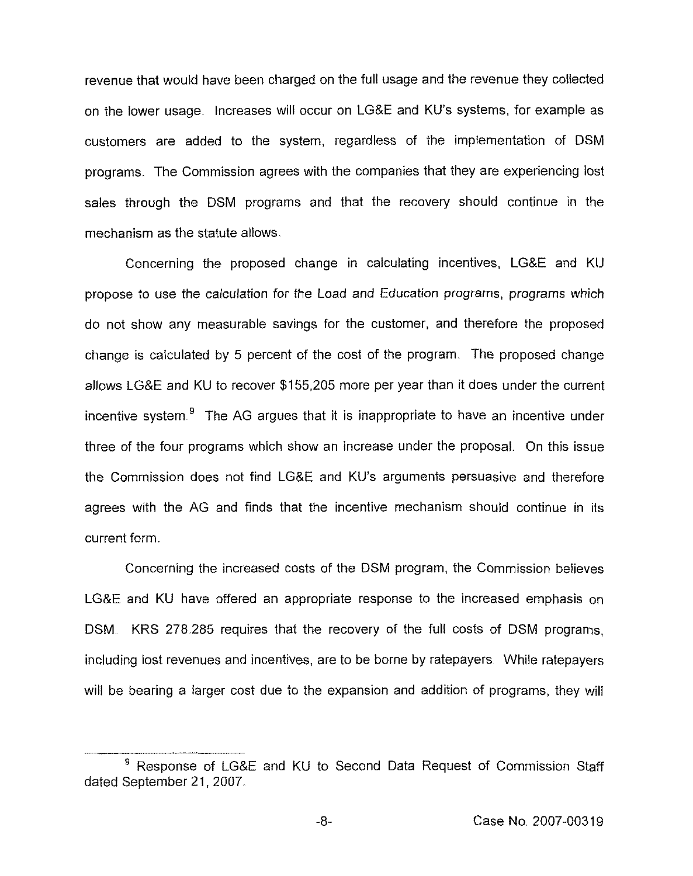revenue that would have been charged on the full usage and the revenue they collected on the lower usage. Increases will occur on LG&E and KU's systems, for example as customers are added to the system, regardless of the implementation of DSM programs. The Commission agrees with the companies that they are experiencing lost sales through the DSM programs and that the recovery should continue in the mechanism as the statute allows.

Concerning the proposed change in calculating incentives, LG&E and KU propose to use the calculation for the Load and Education programs, programs which do not show any measurable savings for the customer, and therefore the proposed change is calculated by 5 percent of the cost of the program. The proposed change allows LG&E and KU to recover \$155,205 more per year than it does under the current incentive system. $9$  The AG argues that it is inappropriate to have an incentive under three of the four programs which show an increase under the proposal. On this issue the Commission does not find LG&E and KU's arguments persuasive and therefore agrees with the AG and finds that the incentive mechanism should continue in its current form.

Concerning the increased costs of the DSM program, the Commission believes LG&E and KU have offered an appropriate response to the increased emphasis on DSM. KRS 278.285 requires that the recovery of the full costs of DSM programs, including lost revenues and incentives, are to be borne by ratepayers While ratepayers will be bearing a larger cost due to the expansion and addition of programs, they will

<sup>&</sup>lt;sup>9</sup> Response of LG&E and KU to Second Data Request of Commission Staff dated September 21, 2007.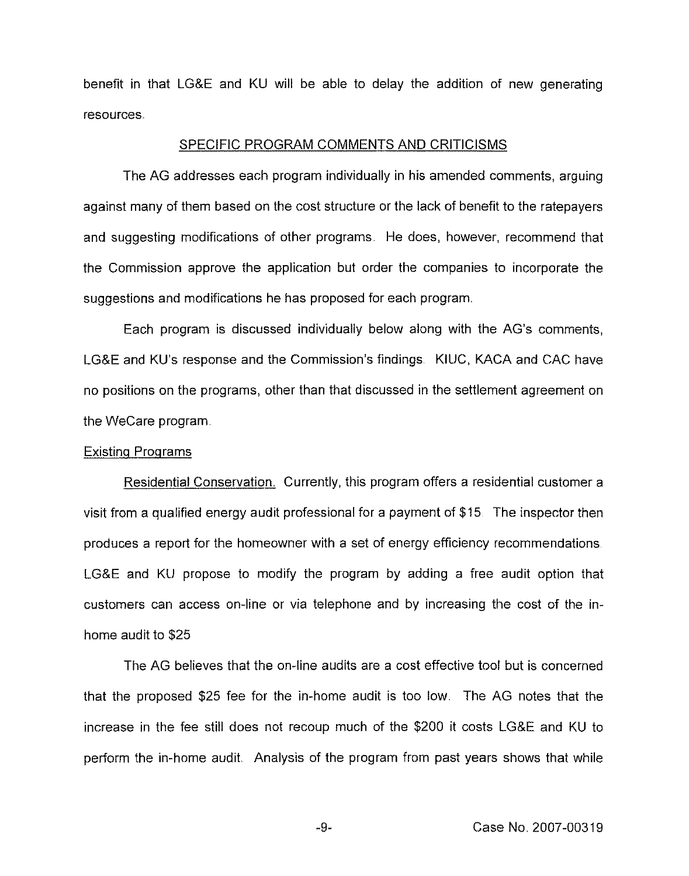benefit in that LGBE and KU will be able to delay the addition of new generating resources.

#### SPECIFIC PROGRAM COMMENTS AND CRITICISMS

The AG addresses each program individually in his amended comments, arguing against many of them based on the cost structure or the lack of benefit to the ratepayers and suggesting modifications of other programs He does, however, recommend that the Commission approve the application but order the companies to incorporate the suggestions and modifications he has proposed for each program

Each program is discussed individually below along with the AG's comments, LG&E and KU's response and the Commission's findings. KIUC, KACA and CAC have no positions on the programs, other than that discussed in the settlement agreement on the WeCare program

### **Existing Programs**

Residential Conservation. Currently, this program offers a residential customer a visit from a qualified energy audit professional for a payment of \$ 15 The inspector then produces a report for the homeowner with a set of energy efficiency recommendations LG&E and KLI propose to modify the program by adding a free audit option that customers can access on-line or via telephone and by increasing the cost of the inhome audit to \$25

The AG believes that the on-line audits are a cost effective tool but is concerned that the proposed \$25 fee for the in-home audit is too low. The AG notes that the increase in the fee still does not recoup much of the \$200 it costs LGRE and KU to perform the in-home audit. Analysis of the program from past years shows that while

 $-9-$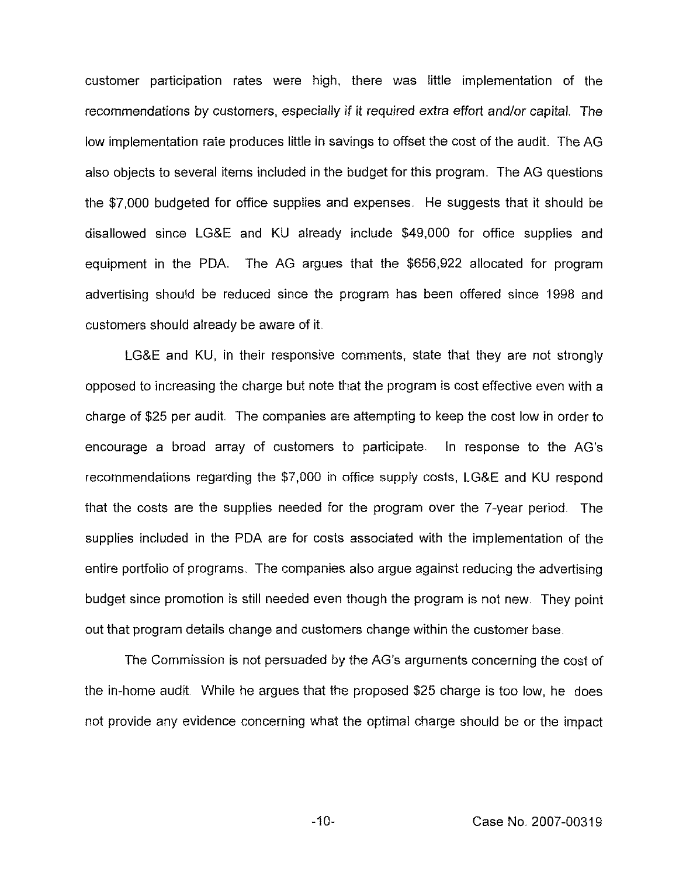customer participation rates were high, there was little implementation of the recommendations by customers, especially if it required extra effort and/or capital. The low implementation rate produces little in savings to offset the cost of the audit. The AG also objects to several items included in the budget for this program. The AG questions the \$7,000 budgeted for office supplies and expenses. He suggests that it should be disallowed since LG&E and KU already include \$49,000 for office supplies and equipment in the PDA. The AG argues that the \$656,922 allocated for program advertising should be reduced since the program has been offered since 1998 and customers should already be aware of it

LG&E and KU, in their responsive comments, state that they are not strongly opposed to increasing the charge but note that the program is cost effective even with a charge of \$25 per audit. The companies are attempting to keep the cost low in order to encourage a broad array of customers to participate. In response to the AG's recommendations regarding the \$7,000 in office supply costs, LG&E and KU respond that the costs are the supplies needed for the program over the 7-year period. The supplies included in the PDA are for costs associated with the implementation of the entire portfolio of programs, The companies also argue against reducing the advertising budget since promotion is still needed even though the program is not new. They point out that program details change and customers change within the customer base

The Commission is not persuaded by the AG's arguments concerning the cost of the in-home audit. While he argues that the proposed \$25 charge is too low, he does not provide any evidence concerning what the optimal charge should be or the impact

 $-10-$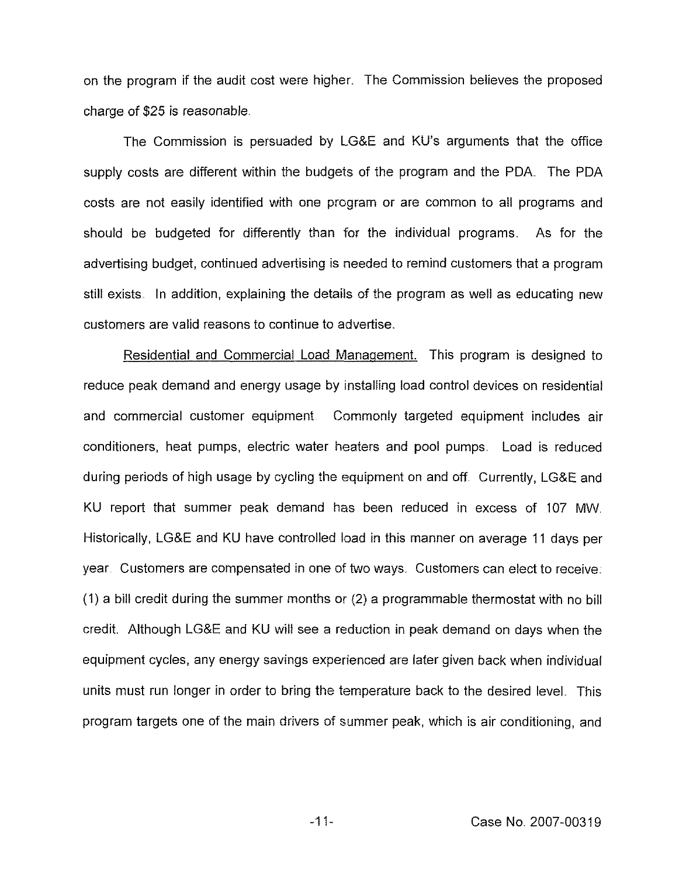on the program if the audit cost were higher. The Commission believes the proposed charge of \$25 is reasonable.

The Commission is persuaded by LG8E and KU's arguments that the office supply costs are different within the budgets of the program and the PDA. The PDA costs are not easily identified with one program or are common to all programs and should be budgeted for differently than for the individual programs. As for the advertising budget, continued advertising is needed to remind customers that a program still exists. In addition, explaining the details of the program as well as educating new customers are valid reasons to continue to advertise.

Residential and Commercial Load Manaqement. This program is designed to reduce peak demand and energy usage by installing load control devices on residential and commercial customer equipment. Commonly targeted equipment includes air conditioners, heat pumps, electric water heaters and poo! pumps. Load is reduced during periods of high usage by cycling the equipment on and off. Currently, LG&E and KU report that summer peak demand has been reduced in excess of 107 MW Historically, LG&E and KU have controlled load in this manner on average 11 days per year. Customers are compensated in one of two ways. Customers can elect to receive: (1) a bill credit during the summer months or (2) a programmable thermostat with no bill credit. Although LG&E and KLI will see a reduction in peak demand on days when the equipment cycles, any energy savings experienced are later given back when individual units must run longer in order to bring the temperature back to the desired level. This program targets one of the main drivers of summer peak, which is air conditioning, and

 $-11-$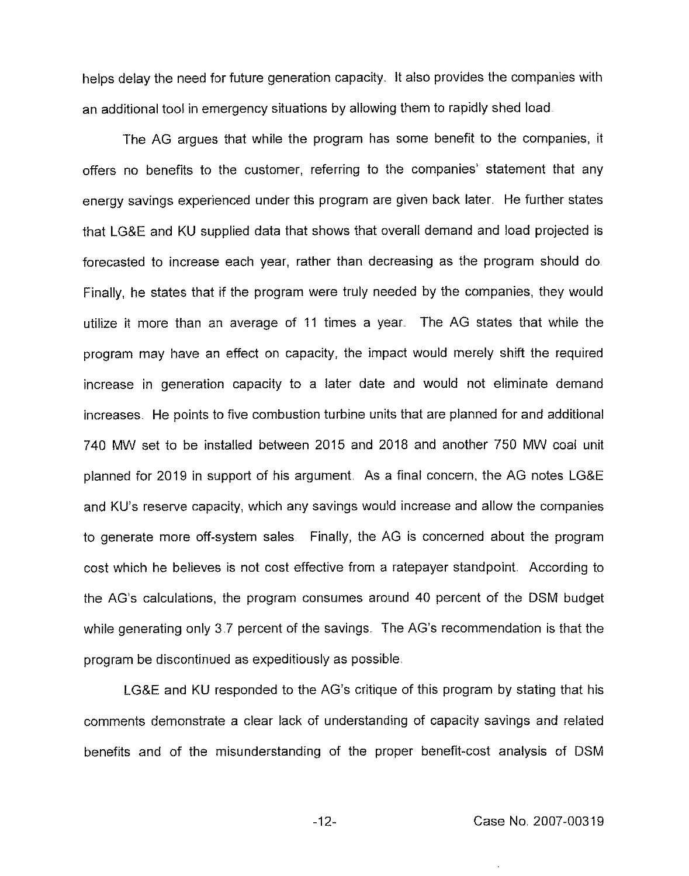helps delay the need for future generation capacity. lt also provides the companies with an additional tool in emergency situations by allowing them to rapidly shed load

The AG argues that while the program has some benefit to the companies, it offers no benefits to the customer, referring to the companies' statement that any energy savings experienced under this program are given back later. He further states that LGBE and KU supplied data that shows that overall demand and load projected is forecasted to increase each year, rather than decreasing as the program should do Finally, he states that if the program were truly needed by the companies, they would utilize it more than an average of 11 times a year The AG states that while the program may have an effect on capacity, the impact would merely shift the required increase in generation capacity to a later date and would not eliminate demand increases He points to five combustion turbine units that are planned for and additional 740 MW set to be installed between 2015 and 2018 and another 750 MW coal unit planned for 2019 in support of his argument. As a final concern, the AG notes LG&E and KU's reserve capacity, which any savings would increase and allow the companies to generate more off-system sales Finally, the AG is concerned about the program cost which he believes is not cost effective from a ratepayer standpoint. According to the AG's calculations, the program consumes around 40 percent of the DSM budget while generating only 3.7 percent of the savings. The AG's recommendation is that the program be discontinued as expeditiously as possible.

LG8E and KU responded to the AG's critique of this program by stating that his comments demonstrate a clear lack of understanding of capacity savings and related benefits and of the misunderstanding of the proper benefit-cost analysis of DSM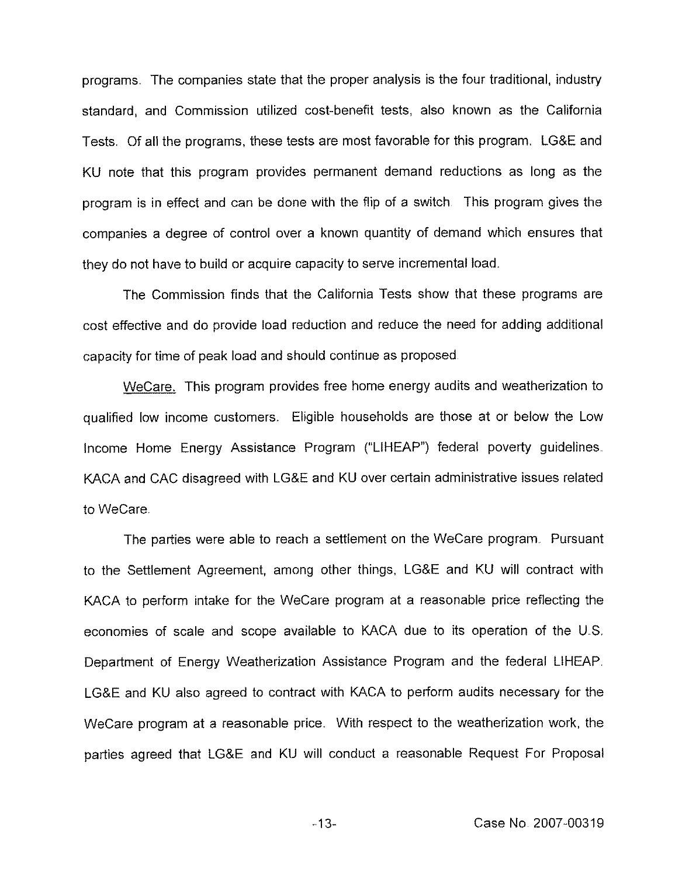programs. The companies state that the proper analysis is the four traditional, industry standard, and Commission utilized cost-benefit tests, also known as the California Tests Of all the programs, these tests are most favorable for this program. LG8E and KU note that this program provides permanent demand reductions as long as the program is in effect and can be done with the flip of a switch This program gives the companies a degree of control over a known quantity of demand which ensures that they do not have to build or acquire capacity to serve incremental load.

The Commission finds that the California Tests show that these programs are cost effective and do provide load reduction and reduce the need for adding additional capacity for time of peak load and should continue as proposed

WeCare. This program provides free home energy audits and weatherization to qualified low income customers. Eligible households are those at or below the Low Income Home Energy Assistance Program ("LIHEAP") federal poverty guidelines. KACA and CAC disagreed with LG&E and KU over certain administrative issues related to WeCare

The parties were able to reach a settlement on the WeCare program. Pursuant to the Settlement Agreement, among other things, LG&E and KU will contract with KACA to perform intake for the WeCare program at a reasonable price reflecting the economies of scale and scope available to KACA due to its operation of the U.S. Department of Energy Weatherization Assistance Program and the federal LIHEAP. LG8E and KU also agreed to contract with KACA to perform audits necessary for the WeCare program at a reasonable price. With respect to the weatherization work, the parties agreed that LGBE and KU will conduct a reasonable Request For Proposal

 $-13-$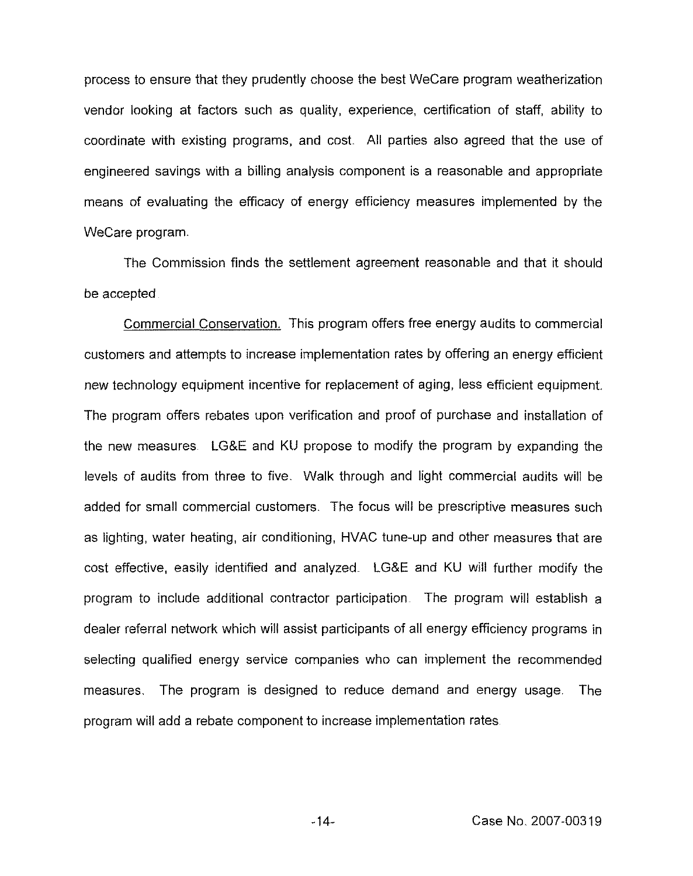process to ensure that they prudently choose the best WeCare program weatherization vendor looking at factors such as quality, experience, certification of staff, ability to coordinate with existing programs, and cost. All parties also agreed that the use of engineered savings with a billing analysis component is a reasonable and appropriate means of evaluating the efficacy of energy efficiency measures implemented by the WeCare program.

The Commission finds the settlement agreement reasonable and that it should be accepted

Commercial Conservation. This program offers free energy audits to commercial customers and attempts to increase implementation rates by offering an energy efficient new technology equipment incentive for replacement of aging, less efficient equipment The program offers rebates upon verification and proof of purchase and installation of the new measures LGBE and KU propose to modify the program by expanding the levels of audits from three to five. Walk through and light commercial audits will be added for small commercial customers. The focus will be prescriptive measures such as lighting, water heating, air conditioning, HVAC tune-up and other measures that are cost effective, easily identified and analyzed. LG&E and KU will further modify the program to include additional contractor participation The program will establish a dealer referral network which will assist participants of all energy efficiency programs in selecting qualified energy service companies who can implement the recommended measures. The program is designed to reduce demand and energy usage. The program will add a rebate component to increase implementation rates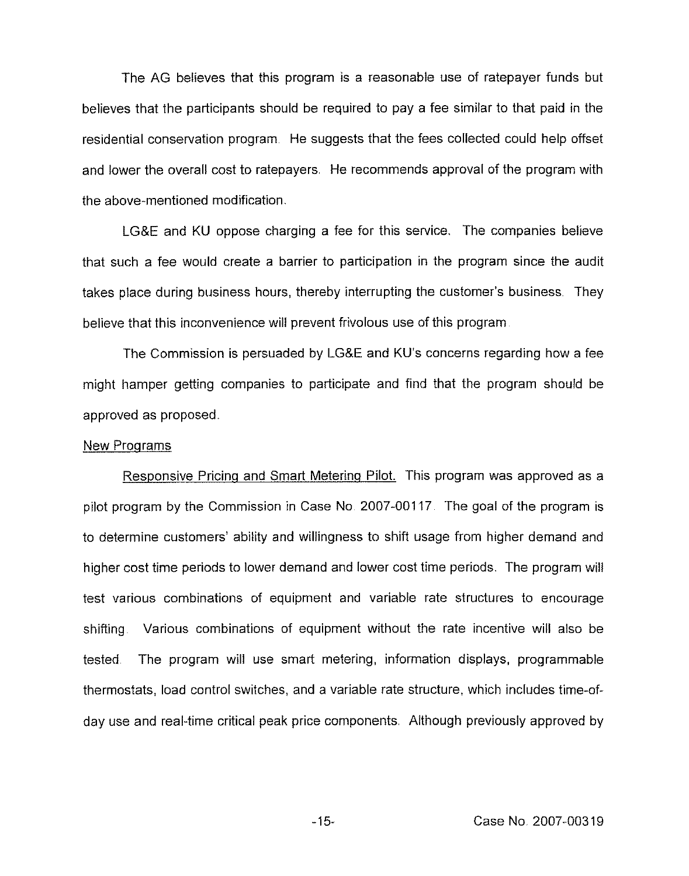The AG believes that this program is a reasonable use of ratepayer funds but believes that the participants should be required to pay a fee similar to that paid in the residential conservation program. He suggests that the fees collected could help offset and lower the overall cost to ratepayers. He recommends approval of the program with the above-mentioned modification.

LGKE and KU oppose charging a fee for this service. The companies believe that such a fee would create a barrier to participation in the program since the audit takes place during business hours, thereby interrupting the customer's business They believe that this inconvenience will prevent frivolous use of this program

The Commission is persuaded by LG&E and KU's concerns regarding how a fee might hamper getting companies to participate and find that the program should be approved as proposed.

# New Programs

Responsive Pricina and Smart Meterinq Pilot. This program was approved as a pilot program by the Commission in Case No. 2007-00117. The goal of the program is to determine customers' ability and willingness to shift usage from higher demand and higher cost time periods to lower demand and lower cost time periods. The program will test various combinations of equipment and variable rate structures to encourage shifting Various combinations of equipment without the rate incentive will also be tested The program will use smart metering, information displays, programmable thermostats, load control switches, and a variable rate structure, which includes time-ofday use and real-time critical peak price components Although previously approved by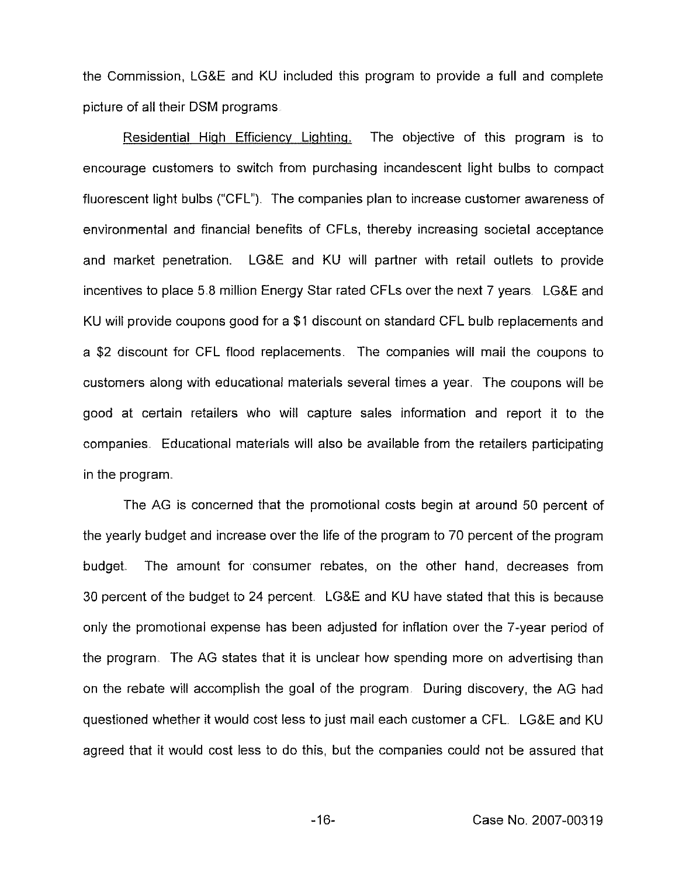the Commission, LG&E and KU included this program to provide a full and complete picture of all their DSM programs

Residential High Efficiency Lighting. The objective of this program is to encourage customers to switch from purchasing incandescent light bulbs to compact fluorescent light bulbs ("CFL"). The companies plan to increase customer awareness of environmental and financial benefits of CFLs, thereby increasing societal acceptance and market penetration. LG&E and KU will partner with retail outlets to provide incentives to place 5.8 million Energy Star rated CFLs over the next 7 years LG&E and KU will provide coupons good for a \$1 discount on standard CFL bulb replacements and a \$2 discount for CFL flood replacements. The companies will mail the coupons to customers along with educational materials several times a year The coupons will be good at certain retailers who will capture sales information and report it to the companies. Educational materials will also be available from the retailers participating in the program.

The AG is concerned that the promotional costs begin at around 50 percent of the yearly budget and increase over the life of the program to 70 percent of the program budget. The amount for consumer rebates, on the other hand, decreases from 30 percent of the budget to 24 percent LG&E and KU have stated that this is because only the promotional expense has been adjusted for inflation over the 7-year period of the program. The AG states that it is unclear how spending more on advertising than on the rebate will accomplish the goal of the program During discovery, the AG had questioned whether it would cost less to just mail each customer a CFL LG&E and KU agreed that it would cost less to do this, but the companies could not be assured that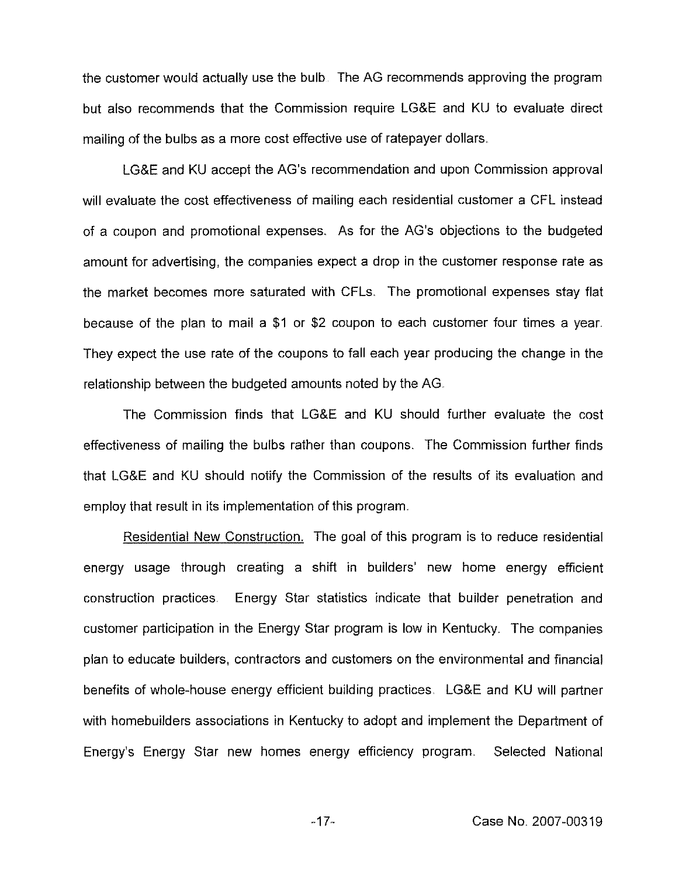the customer would actually use the bulb The AG recommends approving the program but also recommends that the Commission require LG&E and KU to evaluate direct mailing of the bulbs as a more cost effective use of ratepayer dollars.

LG8E and KU accept the AG's recommendation and upon Commission approval will evaluate the cost effectiveness of mailing each residential customer a CFL instead of a coupon and promotional expenses. As for the AG's objections to the budgeted amount for advertising, the companies expect a drop in the customer response rate as the market becomes more saturated with CFLs. The promotional expenses stay flat because of the plan to mail a \$1 or \$2 coupon to each customer four times a year. They expect the use rate of the coupons to fall each year producing the change in the relationship between the budgeted amounts noted by the AG.

The Commission finds that LG&E and KU should further evaluate the cost effectiveness of mailing the bulbs rather than coupons. The Commission further finds that LG&E and KU should notify the Commission of the results of its evaluation and employ that result in its implementation of this program.

Residential New Construction. The goal of this program is to reduce residential energy usage through creating a shift in builders' new home energy efficient construction practices. Energy Star statistics indicate that builder penetration and customer participation in the Energy Star program is low in Kentucky. The companies plan to educate builders, contractors and customers on the environmental and financial benefits of whole-house energy efficient building practices. LG&E and KU will partner with homebuilders associations in Kentucky to adopt and implement the Department of Energy's Energy Star new homes energy efficiency program. Selected National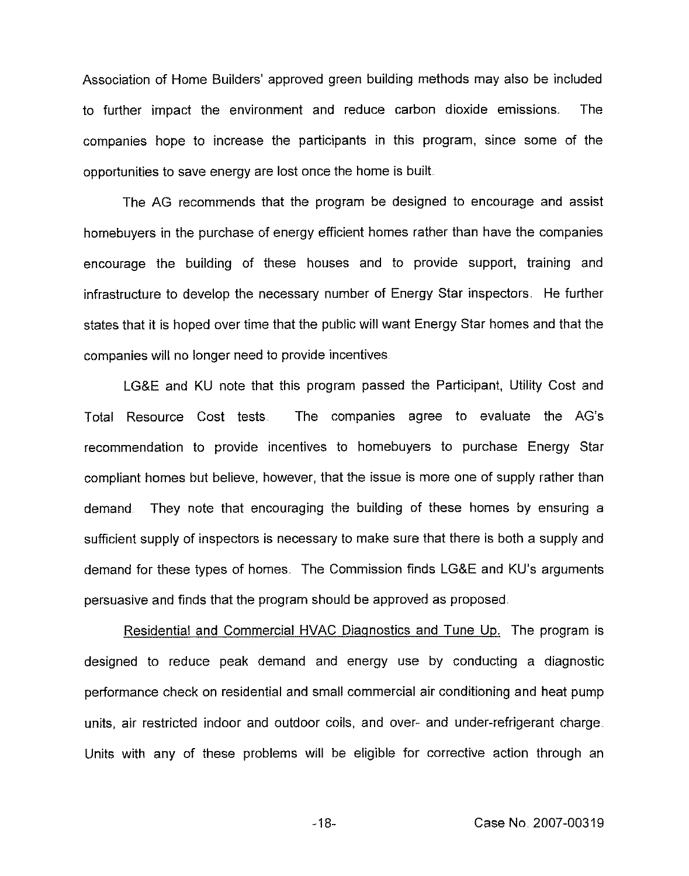Association of Home Builders' approved green building methods may also be included to further impact the environment and reduce carbon dioxide emissions. The companies hope to increase the participants in this program, since some of the opportunities to save energy are lost once the home is built

The AG recommends that the program be designed to encourage and assist homebuyers in the purchase of energy efficient homes rather than have the companies encourage the building of these houses and to provide support, training and infrastructure to develop the necessary number of Energy Star inspectors. He further states that it is hoped over time that the public will want Energy Star homes and that the companies will no longer need to provide incentives

LG&E and KU note that this program passed the Participant, Utility Cost and Total Resource Cost tests The companies agree to evaluate the AG's recommendation to provide incentives to homebuyers to purchase Energy Star compliant homes but believe, however, that the issue is more one of supply rather than demand They note that encouraging the building of these homes by ensuring a sufficient supply of inspectors is necessary to make sure that there is both a supply and demand for these types of homes. The Commission finds LG&E and KU's arguments persuasive and finds that the program should be approved as proposed.

Residential and Commercial HVAC Diagnostics and Tune Up. The program is designed to reduce peak demand and energy use by conducting a diagnostic performance check on residential and small commercial air conditioning and heat pump units, air restricted indoor and outdoor coils, and over- and under-refrigerant charge Units with any of these problems will be eligible for corrective action through an

 $-18-$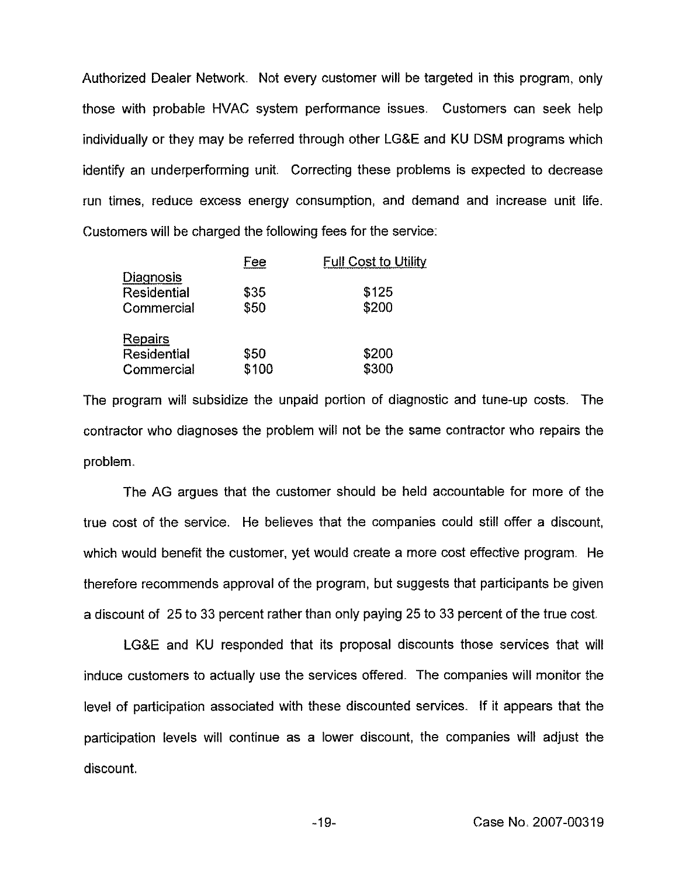Authorized Dealer Network. Not every customer will be targeted in this program, only those with probable HVAC system performance issues. Customers can seek help individually or they may be referred through other LG&E and KU DSM programs which identify an underperforming unit. Correcting these problems is expected to decrease run times, reduce excess energy consumption, and demand and increase unit life. Customers will be charged the following fees for the service:

| Fee   | <b>Full Cost to Utility</b> |
|-------|-----------------------------|
|       | \$125                       |
|       |                             |
|       | \$200                       |
|       |                             |
| \$50  | \$200                       |
| \$100 | \$300                       |
|       | \$35<br>\$50                |

The program will subsidize the unpaid portion of diagnostic and tune-up costs. The contractor who diagnoses the problem will not be the same contractor who repairs the problem.

The AG argues that the customer should be held accountabie for more of the true cost of the service. He believes that the companies could still offer a discount, which would benefit the customer, yet would create a more cost effective program. He therefore recommends approval of the program, but suggests that participants be given a discount of 25 to 33 percent rather than only paying 25 to 33 percent of the true cost,

LG&E and KU responded that its proposal discounts those services that will induce customers to actually use the services offered. The companies will monitor the level of participation associated with these discounted services. If it appears that the participation levels will continue as a lower discount, the companies will adjust the discount.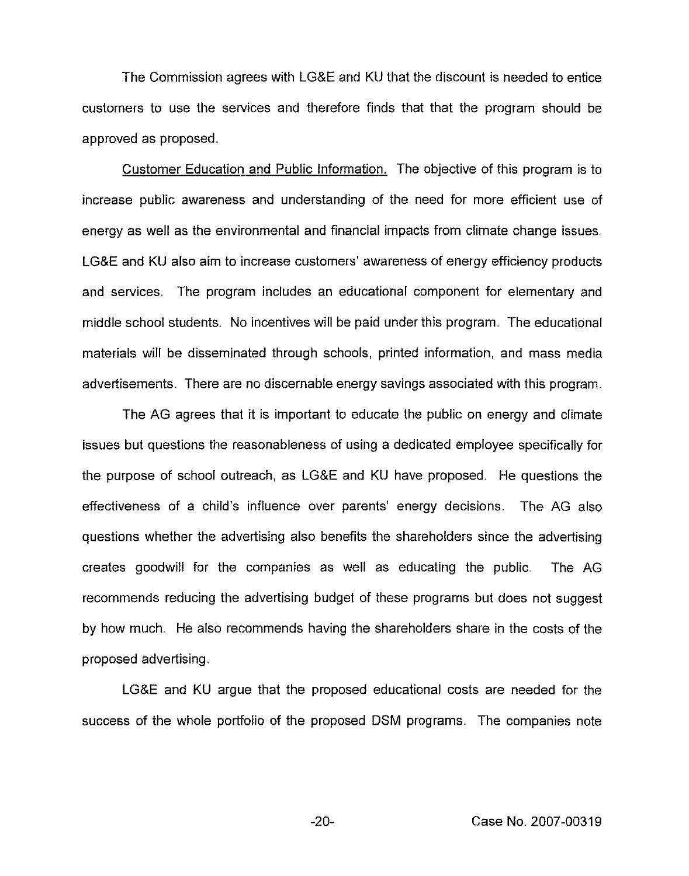The Commission agrees with LG&E and KU that the discount is needed to entice customers to use the services and therefore finds that that the program should be approved as proposed.

Customer Education and Public Information. The objective of this program is to increase public awareness and understanding of the need for more efficient use of energy as well as the environmental and financial impacts from climate change issues. LG&E and KU also aim to increase customers' awareness of energy efficiency products and services. The program includes an educational component for elementary and middle school students. No incentives will be paid under this program, The educational materials will be disseminated through schools, printed information, and mass media advertisements. There are no discernable energy savings associated with this program.

The AG agrees that it is important to educate the public on energy and climate issues but questions the reasonableness of using a dedicated employee specifically for the purpose of school outreach, as LG8E and KU have proposed. He questions the effectiveness of a child's influence over parents' energy decisions. The AG also questions whether the advertising also benefits the shareholders since the advertising creates goodwill for the companies as well as educating the public. The AG recommends reducing the advertising budget of these programs but does not suggest by how much. He also recommends having the shareholders share in the costs of the proposed advertising.

LG8E and KU argue that the proposed educational costs are needed for the success of the whole porffolio of the proposed DSM programs, The companies note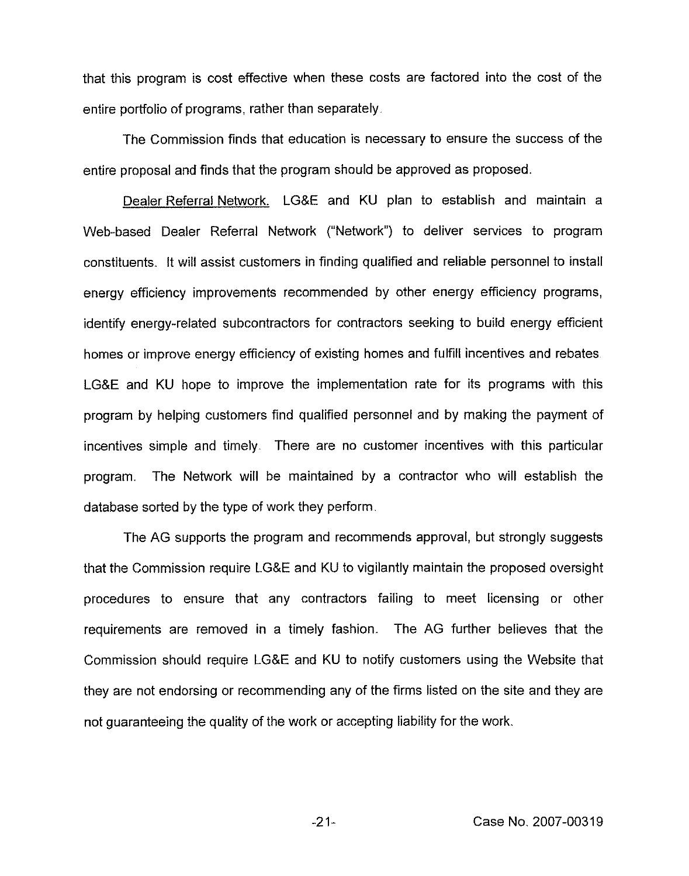that this program is cost effective when these costs are factored into the cost of the entire portfolio of programs, rather than separately.

The Commission finds that education is necessary to ensure the success of the entire proposal and finds that the program should be approved as proposed.

Dealer Referral Network. LGSE and KU plan to establish and maintain a Web-based Dealer Referral Network ("Network") to deliver services to prograr constituents. It will assist customers in finding qualified and reliable personnel to install energy efficiency improvements recommended by other energy efficiency programs, identify energy-related subcontractors for contractors seeking to build energy efficient homes or improve energy efficiency of existing homes and fulfill incentives and rebates LG&E and KU hope to improve the implementation rate for its programs with this program by helping customers find qualified personnel and by making the payment of incentives simple and timely. There are no customer incentives with this particular program. The Network will be maintained by a contractor who will establish the database sorted by the type of work they perform

The AG supports the program and recommends approval, but strongly suggests that the Commission require LG&E and KU to vigilantly maintain the proposed oversight procedures to ensure that any contractors failing to meet licensing or other requirements are removed in a timely fashion. The AG further believes that the Commission should require LG8E and KU to notify customers using the Website that they are not endorsing or recommending any of the firms listed on the site and they are not guaranteeing the quality of the work or accepting liability for the work.

-21- Case No. 2007-00319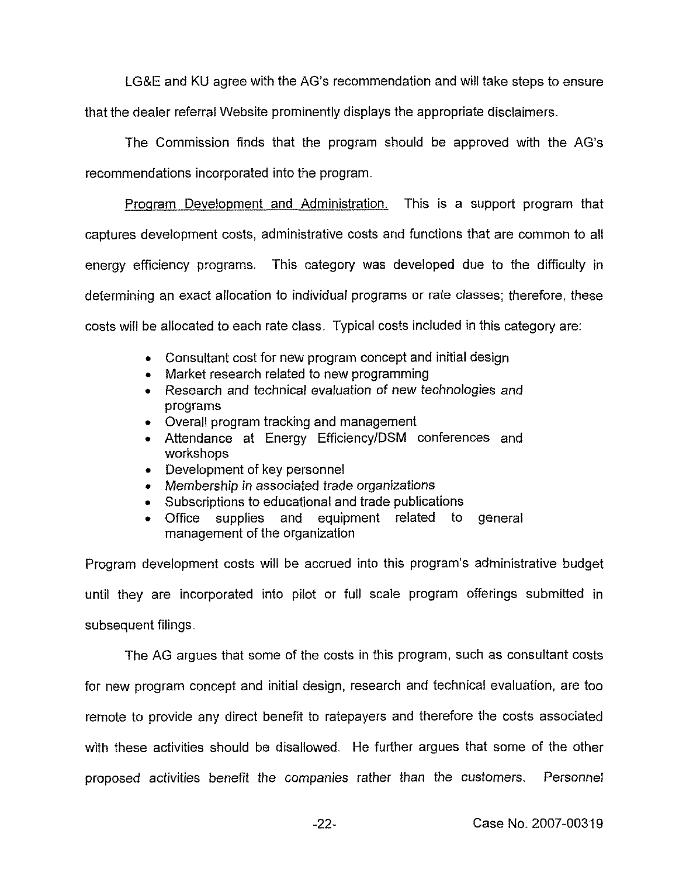LGKE and KU agree with the AG's recommendation and will take steps to ensure that the dealer referral Website prominently displays the appropriate disclaimers.

The Commission finds that the program should be approved with the AG's recommendations incorporated into the program.

Program Development and Administration. This is a support program that captures development costs, administrative costs and functions that are common to all energy efficiency programs. This category was developed due to the difficulty in determining an exact allocation to individual programs or rate classes; therefore, these costs will be allocated to each rate class. Typical costs included in this category are:

- <sup>~</sup> Consultant cost for new program concept and initial design
- <sup>~</sup> Market research related to new programming
- <sup>~</sup> Research and technical evaluation of new technologies and programs
- <sup>~</sup> Overall program tracking and management
- <sup>~</sup> Attendance at Energy Efficiency/DSM conferences and workshops
- <sup>~</sup> Development of key personnel
- <sup>~</sup> Membership in associated trade organizations
- ~ Subscriptions to educational and trade publications
- <sup>~</sup> Office supplies and equipment related to general management of the organization

Program development costs will be accrued into this program's administrative budget until they are incorporated into pilot or full scale program offerings submitted jn subsequent filings.

The AG argues that some of the costs in this program, such as consultant costs for new program concept and initial design, research and technical evaluation, are too remote to provide any direct benefit to ratepayers and therefore the costs associated with these activities should be disallowed. He further argues that some of the other proposed activities benefit the companies rather than the customers. Personnel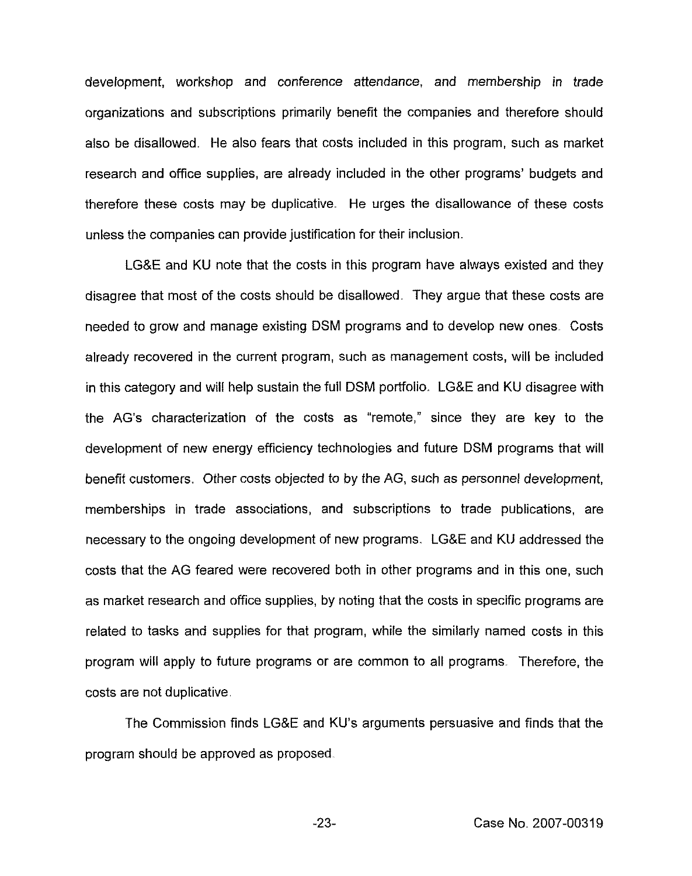development, workshop and conference attendance, and membership in trade organizations and subscriptions primarily benefit the companies and therefore should also be disallowed. He also fears that costs included in this program, such as market research and office supplies, are already included in the other programs' budgets and therefore these costs may be duplicative. He urges the disallowance of these costs unless the companies can provide justification for their inclusion.

LG&E and KU note that the costs in this program have always existed and they disagree that most of the costs should be disallowed They argue that these costs are needed to grow and manage existing DSM programs and to develop new ones. Costs already recovered in the current program, such as management costs, will be included in this category and will help sustain the full DSM portfolio. LG&E and KU disagree with the AG's characterization of the costs as "remote," since they are key to the development of new energy efficiency technologies and future DSM programs that will benefit customers. Other costs objected to by the AG, such as personnel development, memberships in trade associations, and subscriptions to trade publications, are necessary to the ongoing development of new programs. LG&E and KU addressed the costs that the AG feared were recovered both in other programs and in this one, such as market research and office supplies, by noting that the costs in specific programs are related to tasks and supplies for that program, while the similarly named costs in this program will apply to future programs or are common to all programs. Therefore, the costs are not duplicative.

The Commission finds LG&E and KU's arguments persuasive and finds that the program should be approved as proposed

 $-23-$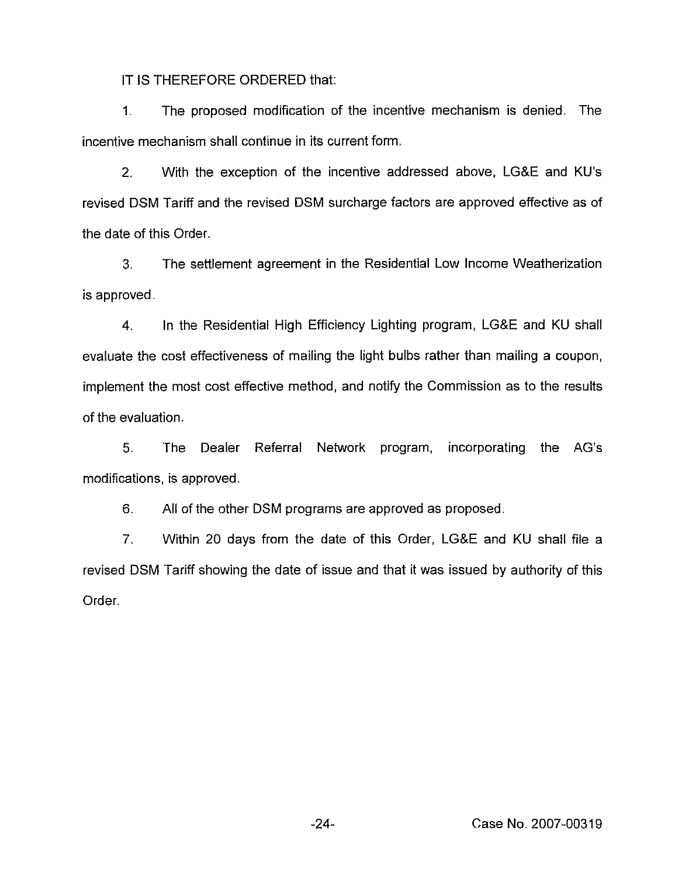IT IS THEREFORE ORDERED that:

1 The proposed modification of the incentive mechanism is denied. The incentive mechanism shall continue in its current form.

2. With the exception of the incentive addressed above, LG&E and KV's revised DSM Tariff and the revised DSM surcharge factors are approved effective as of the date of this Order.

3. The settlement agreement in the Residential Low Income Weatherization is approved.

4. In the Residential High Efficiency Lighting program, LG&E and KU shall evaluate the cost effectiveness of mailing the light bulbs rather than mailing a coupon, implement the most cost effective method, and notify the Commission as to the results of the evaluation.

5. 'The Dealer Referral Network program, incorporating the AG's modifications, is approved.

6. All of the other DSM programs are approved as proposed.

7. Within 20 days from the date of this Order, LG&E and KU shall file a revised DSM Tariff showing the date of issue and that it was issued by authority of this Order.

-24- Case No. 2007-00319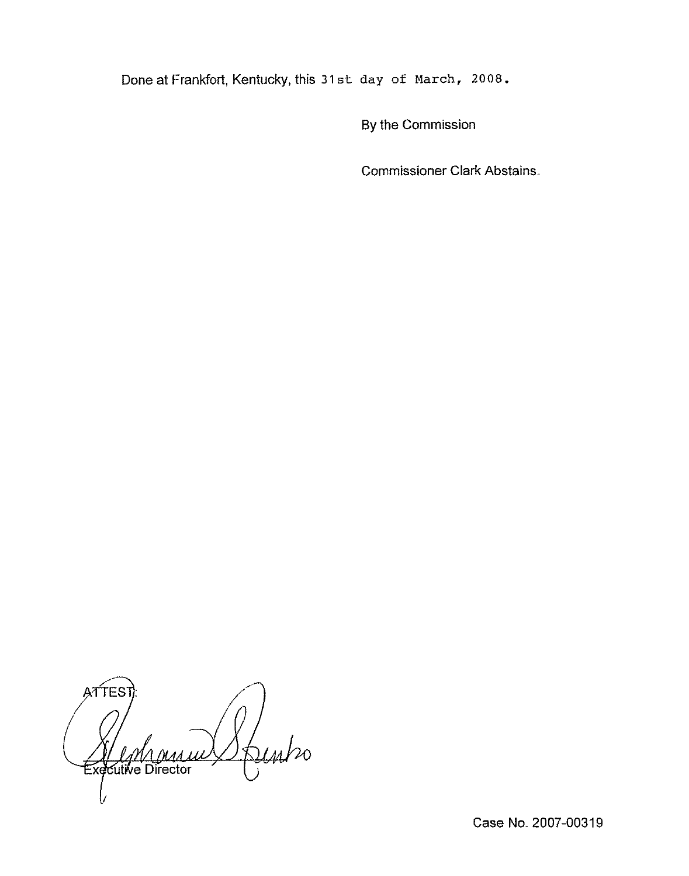Done at Frankfort, Kentucky, this 31st day of march, 2OOS.

By the Commission

Commissioner Clark Abstains.

ATTES Joints <u>Magas</u> Directo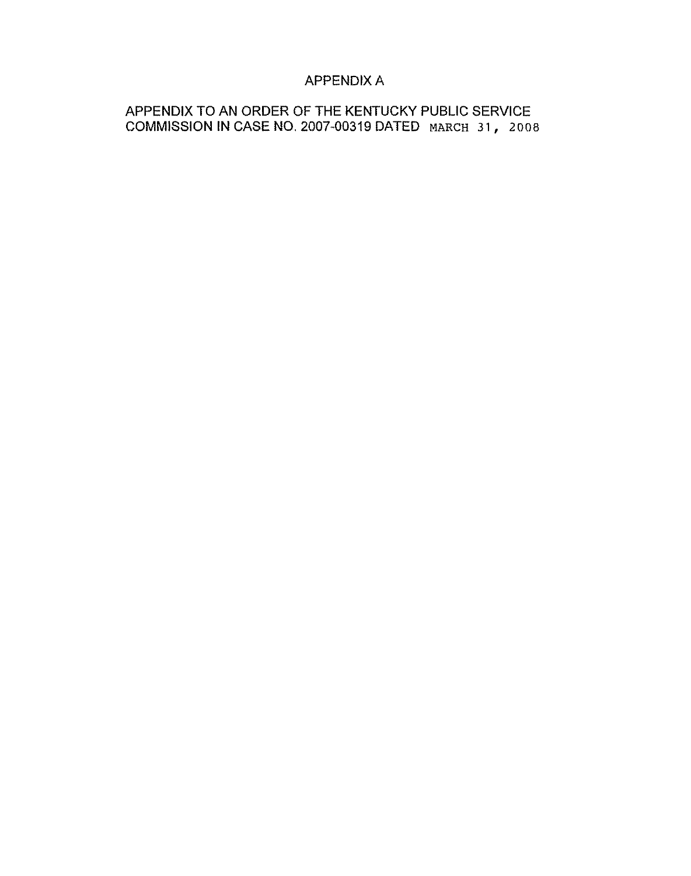# APPENDIX A

APPENDIX TO AN ORDER OF THE KENTUCKY PUBLIC SERVICE COMMISSION IN CASE NO. 2007-00319 DATED MARCH 31, 2nos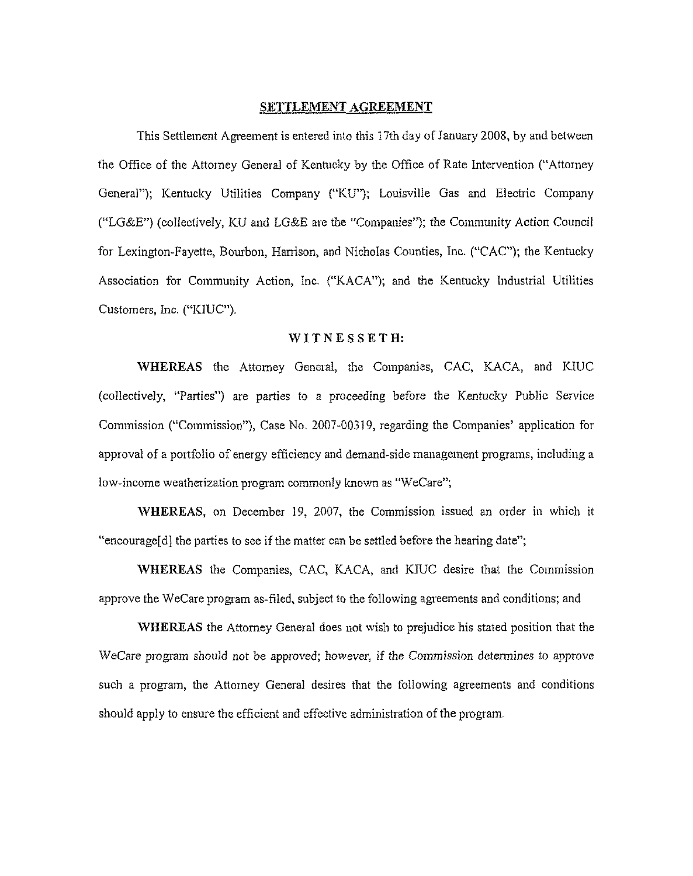#### SETTLEMENT AGREEMENT

This Settlement Agreement is entered into this 17th day of January 2008, by and between the Office of the Attorney General of Kentucky by the Office of Rate Intervention ("Attorney General"); Kentucky Utilities Company ("KU"); Louisville Gas and Electric Company ("LG&E") (collectively, KU and LG&E are the "Companies"); the Community Action Council for Lexington-Fayette, Bourbon, Harrison, and Nicholas Counties, Inc. ("CAC"); the Kentucky Association for Community Action, Inc. ("KACA"); and the Kentucky Industrial Utilities Customers, Inc. ("KIUC").

#### WITNESSETH:

WHEREAS the Attorney General, the Companies, CAC, KACA, and KIUC (collectively, "Parties") are parties to a proceeding before the Kentucky Public Service Commission ("Commission"), Case No. 2007-00319, regarding the Companies' application for approval of a portfolio of energy efficiency and demand-side management programs, including a low-income weatherization program commonly known as "WeCare";

WHEREAS, on December 19, 2007, the Commission issued an order in which it "encourage[d] the parties to see if the matter can be settled before the hearing date";

WHEREAS the Companies, CAC, KACA, and KIUC desire that the Commission approve the WeCare program as-filed, subject to the following agreements and conditions; and

WHEREAS the Attorney General does not wish to prejudice his stated position that the WeCare program should not be approved; however, if the Commission determines to approve such a program, the Attorney General desires that the following agreements and conditions should apply to ensure the efficient and effective administration of the program.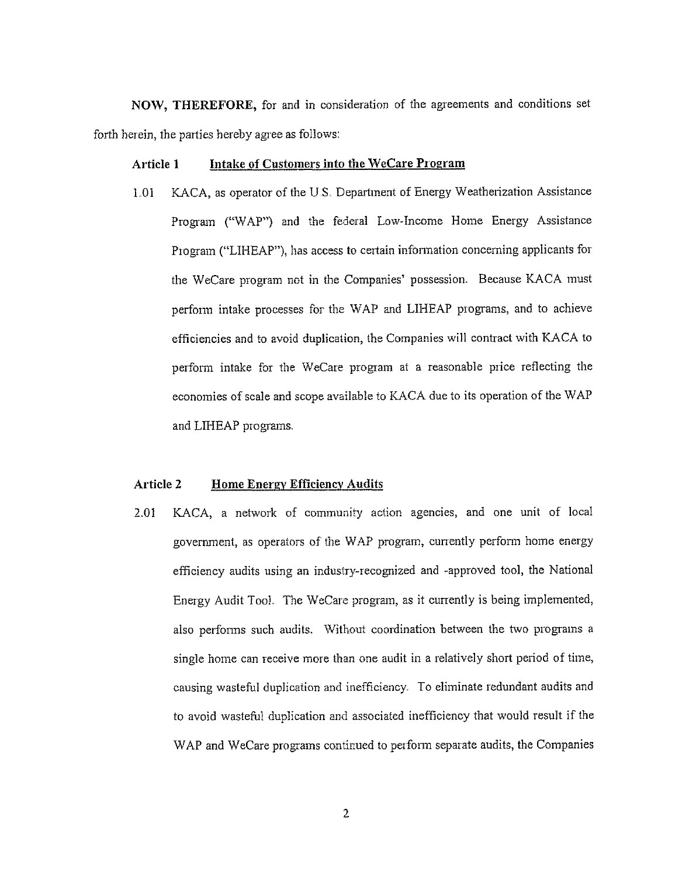NOW, THEREFORE, for and in consideration of the agreements and conditions set forth herein, the parties hereby agree as follows:

#### Article 1 Intake of Customers into the WeCare Program

1.01 KACA, as operator of the U.S. Department of Energy Weatherization Assistance Program ("WAP") and the federal Low-Income Home Energy Assistance Program ("LIHEAP"), has access to certain information concerning applicants for the WeCare program not in the Companies' possession. Because KACA must perform intake processes for the WAP and LIHEAP piograms, and to achieve efficiencies and to avoid duplication, the Companies will contract with KACA to perform intake for the WeCaie program at a reasonable price reflecting the economies of scale and scope available to KACA due to its operation of the WAP and LIHEAP programs.

#### Article 2 Home Energy Efficiency Audits

2.01 KACA, a network of community action agencies, and one unit of local government, as operators of'he WAP program, currently perform home energy efficiency audits using an industry-recognized and -approved tool, the National Energy Audit Tool. The WeCare program, as it currently is being implemented, also performs such audits. Without coordination between the two programs a single home can receive more than one audit in a relatively short period of time, causing wasteful duplication and inefficiency. To eliminate redundant audits and to avoid wasteful duplication and associated inefficiency that would result if the WAP and WeCare programs continued to perform separate audits, the Companies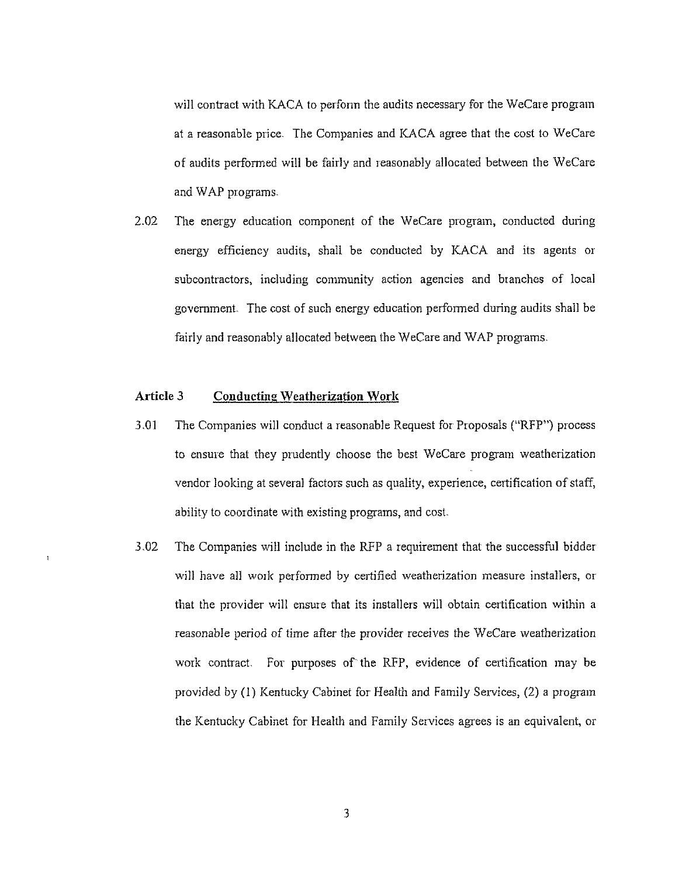will contract with KACA to perform the audits necessary for the WeCare program at a reasonable price. The Companies and KACA agree that the cost to WeCare of audits performed will be fairly and ieasonably allocated between the WeCare and WAP programs.

2.02 The energy education component of the WeCare program, conducted during energy efficiency audits, shall be conducted by KACA and its agents or subcontractors, including community action agencies and branches of local government The cost of such energy education performed during audits shall be fairly and reasonably allocated between the WeCare and WAP programs.

# Article 3 Conducting Weatherization Work

 $\overline{1}$ 

- 3.01 The Companies will conduct a reasonable Request for Proposals ("RFP") process to ensure that they piudently choose the best WeCare program weatherization vendor looking at several factors such as quality, experience, certification of staff, ability to coordinate with existing programs, and cost.
- 3.02 The Companies will include in the RFP a requirement that the successful bidder will have all work performed by certified weatherization measure installers, or that the provider will ensure that its installeis will obtain certification within a reasonable period of time after the provider receives the WeCare weatherization work contract. For purposes of the RFP, evidence of certification may be provided by (1) Kentucky Cabinet for Health and Family Services, (2) a program the Kentucky Cabinet for Health and Family Services agrees is an equivalent, or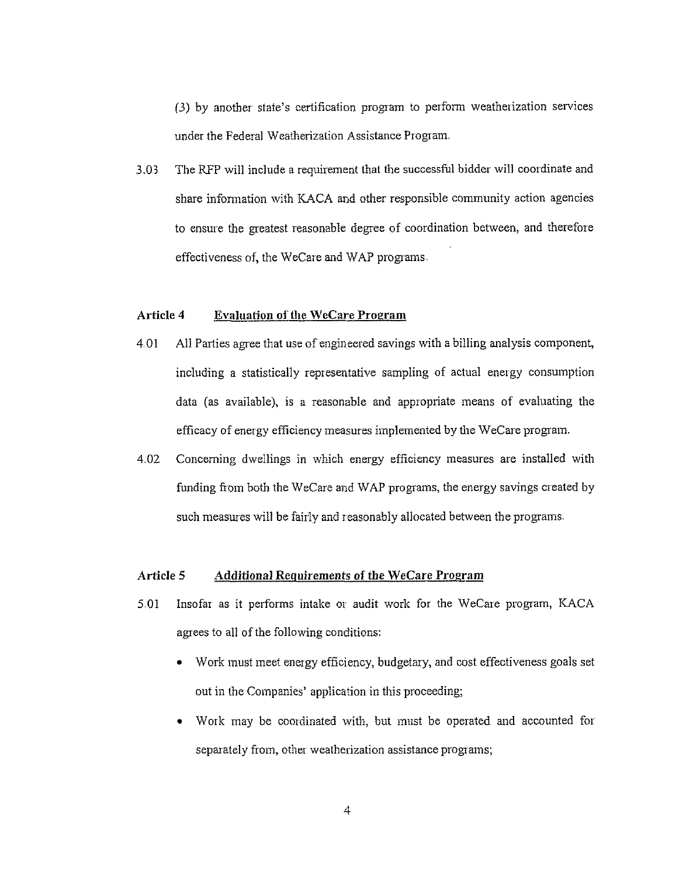(3) by another state's certification program to perform weatherization services under the Federal Weatherization Assistance Program.

3.03 The RFP will include a requirement that the successful bidder will coordinate and share information with KACA and other responsible community action agencies to ensure the greatest reasonable degree of coordination between, and therefore effectiveness of, the WeCare and WAP programs.

### Article 4 Evaluation of the WeCare Program

- 4 01 All Parties agree that use of engineered savings with a billing analysis component, including a statistically representative sampling of actual energy consumption data (as available), is a reasonable and appropriate means of evaluating the efficacy of energy efficiency measures implemented by the WeCare program.
- 4,02 Concerning dwellings in which energy efficiency measures are installed with funding fiom both the WeCare and WAP programs, the energy savings created by such measures will be fairly and reasonably allocated between the programs.

#### Article 5 Additional Requirements of the WeCare Program

- 5.01 Insofar as it performs intake or audit work for the WeCare program, KACA agrees to all of the following conditions:
	- ~ Work must meet energy efficiency, budgetary, and cost effectiveness goals set out in the Companies' application in this proceeding;
	- <sup>~</sup> Work may be coordinated with, but must be operated and accounted foi separately from, other weatherization assistance programs;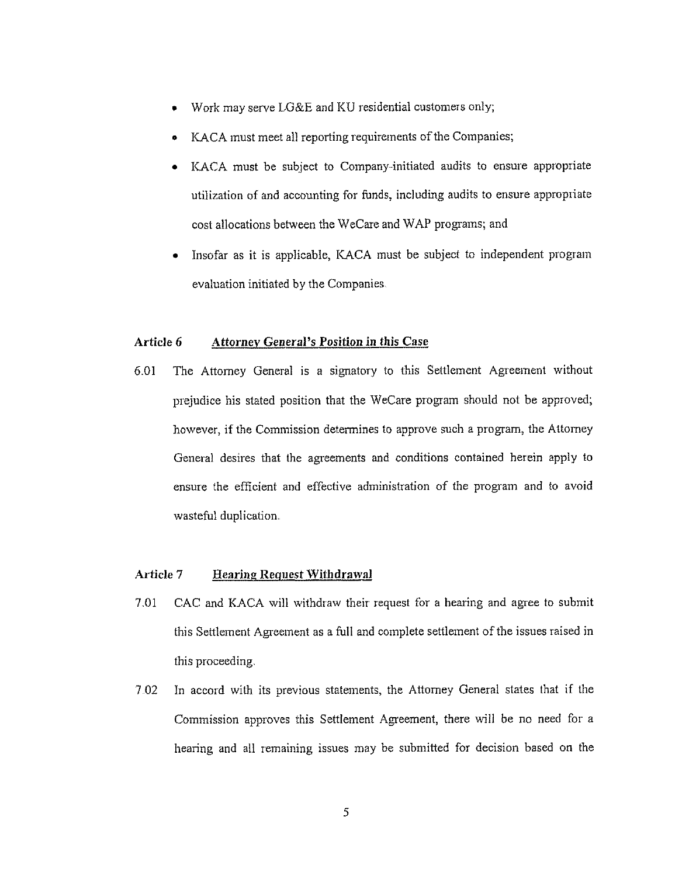- Work may serve LG&E and KU residential customers only;
- KACA must meet all reporting requirements of the Companies;
- KACA must be subject to Company-initiated audits to ensure appropriate utilization of and accounting for funds, including audits to ensure appropriate cost allocations between the WeCare and WAP programs; and
- Insofar as it is applicable, KACA must be subject to independent program evaluation initiated by the Companies,

#### Article 6 Attornev General's Position in this Case

6.01 The Attorney General is a signatory to this Settlement Agreement without prejudice his stated position that the WeCare program should not be approved; however, if the Commission determines to approve such a program, the Attorney General desires that the agreements and conditions contained herein apply to ensure the efficient and effective administration of the program and to avoid wasteful duplication,

# Article 7 Hearing Request Withdrawal

- 7.01 CAC and KACA will withdraw their request for a hearing and agree to submit this Settlement Agreement as a full and complete settlement of the issues raised in this proceeding.
- 7 02 In accord with its previous statements, the Attorney General states that if the Conmrission approves this Settlement Agreement, there vill be no need foi a hearing and all remaining issues may be submitted for decision based on the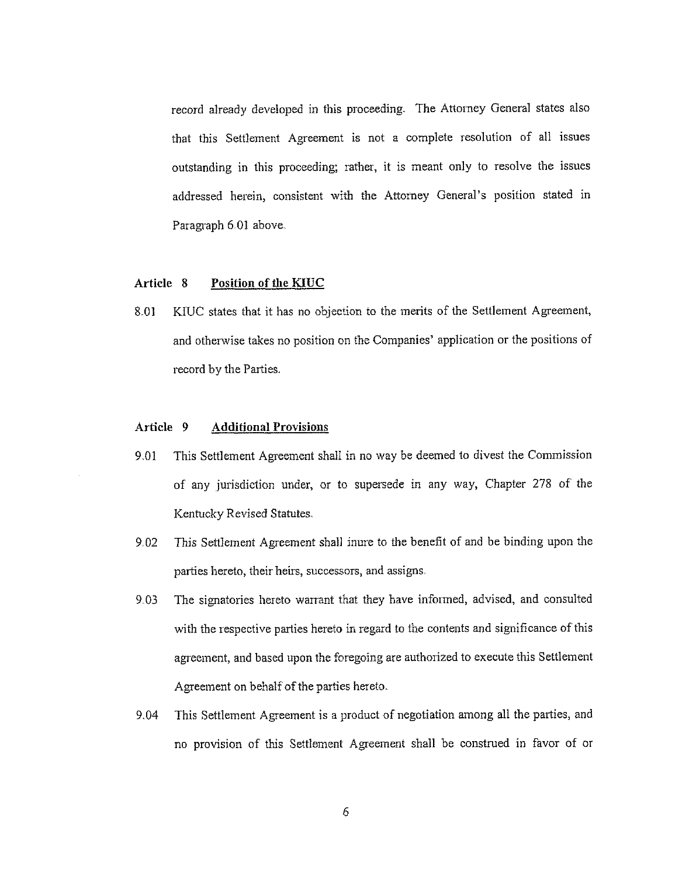record already developed in this proceeding. The Attorney General states also that this Settlement Agreement is not a complete resolution of all issues outstanding in this proceeding; rather, it is meant only to resolve the issues addressed herein, consistent with the Attorney General's position stated in Paragraph 6,01 above.

#### Article 8 Position of the KIUC

8.01 KIUC states that it has no objection to the merits of the Settlement Agreement, and otherwise takes no position on the Companies' application or the positions of record by the Parties.

# Article 9 Additional Provisions

- 9,01 This Settlement Agreement shall in no way be deemed to divest the Commission of any jurisdiction under, or to supersede in any way, Chapter <sup>278</sup> of'he Kentucky Revised Statutes.
- 9,02 This Settlement Agreement shall inure to the benefit of and be binding upon the parties hereto, their heirs, successors, and assigns.
- 9.03 The signatories hereto warrant that they have informed, advised, and consulted with the respective parties hereto in regard to the contents and significance of this agreement, and based upon the foregoing are authorized to execute this Settlement Agreement on behalf of the parties hereto.
- 9.04 This Settlement Agreement is a product of negotiation among all the parties, and no provision of this Settlement Agreement shall be construed in favor of or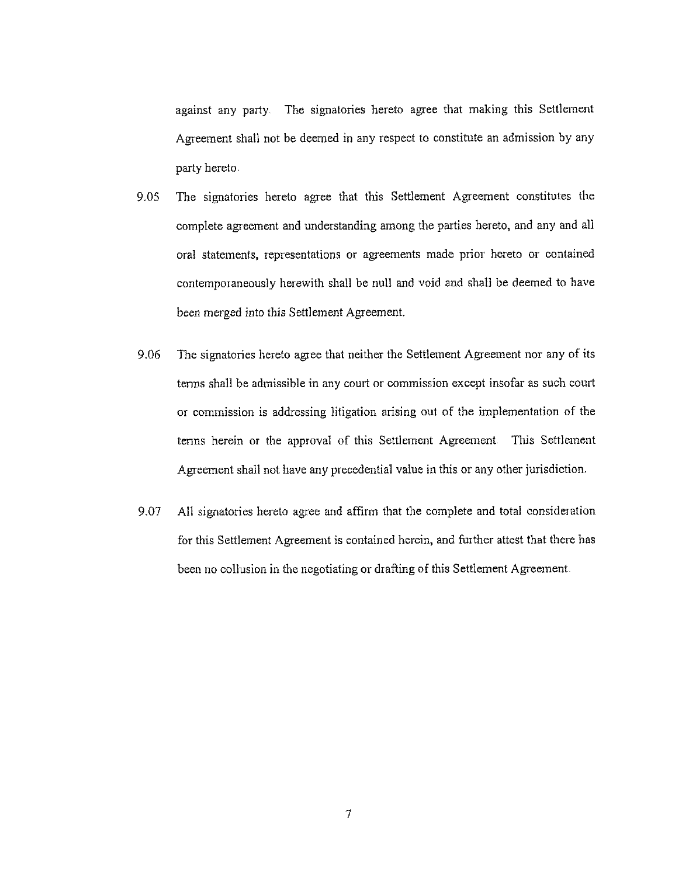against any party The signatories hereto agree that making this Settlement Agreement shall not be deemed in any respect to constitute an admission by any party hereto,

- 9.05 The signatories hereto agree that this Settlement Agreement constitutes the complete agreement and understanding among the parties hereto, and any and all oral statements, representations or agreements made prior hereto or contained contemporaneously herewith shall be null and void and shall be deemed to have been merged into this Settlement Agreement.
- 9.06 The signatories hereto agree that neither the Settlement Agreement nor any of its terms shall be admissible in any court or commission except insofar as such court or commission is addressing litigation arising out of the implementation of the terms herein or the approval of this Settlement Agreement This Settlement Agreement shall not have any precedential value in this or any other jurisdiction.
- 9.07 All signatories hereto agree and affirm that the complete and total consideration for this Settlement Agreement is contained herein, and further attest that there has been no collusion in the negotiating or drafting of this Settlement Agreement.

 $\overline{\tau}$